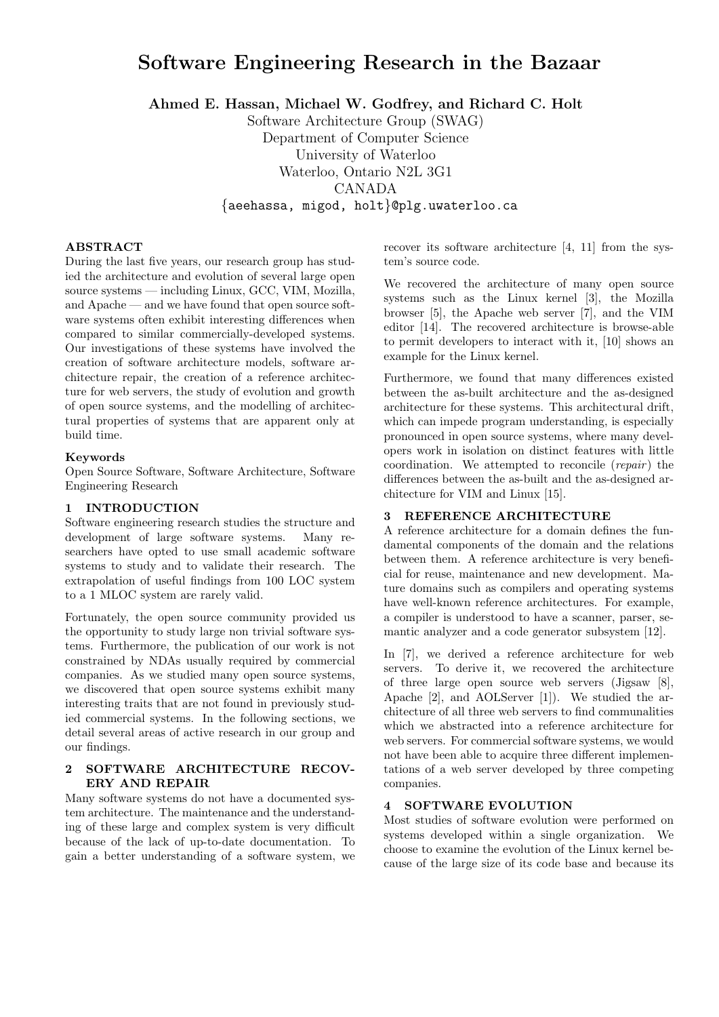# Software Engineering Research in the Bazaar

Ahmed E. Hassan, Michael W. Godfrey, and Richard C. Holt

Software Architecture Group (SWAG) Department of Computer Science University of Waterloo Waterloo, Ontario N2L 3G1 CANADA {aeehassa, migod, holt}@plg.uwaterloo.ca

## ABSTRACT

During the last five years, our research group has studied the architecture and evolution of several large open source systems — including Linux, GCC, VIM, Mozilla, and Apache — and we have found that open source software systems often exhibit interesting differences when compared to similar commercially-developed systems. Our investigations of these systems have involved the creation of software architecture models, software architecture repair, the creation of a reference architecture for web servers, the study of evolution and growth of open source systems, and the modelling of architectural properties of systems that are apparent only at build time.

### Keywords

Open Source Software, Software Architecture, Software Engineering Research

## 1 INTRODUCTION

Software engineering research studies the structure and development of large software systems. Many researchers have opted to use small academic software systems to study and to validate their research. The extrapolation of useful findings from 100 LOC system to a 1 MLOC system are rarely valid.

Fortunately, the open source community provided us the opportunity to study large non trivial software systems. Furthermore, the publication of our work is not constrained by NDAs usually required by commercial companies. As we studied many open source systems, we discovered that open source systems exhibit many interesting traits that are not found in previously studied commercial systems. In the following sections, we detail several areas of active research in our group and our findings.

## 2 SOFTWARE ARCHITECTURE RECOV-ERY AND REPAIR

Many software systems do not have a documented system architecture. The maintenance and the understanding of these large and complex system is very difficult because of the lack of up-to-date documentation. To gain a better understanding of a software system, we recover its software architecture [4, 11] from the system's source code.

We recovered the architecture of many open source systems such as the Linux kernel [3], the Mozilla browser [5], the Apache web server [7], and the VIM editor [14]. The recovered architecture is browse-able to permit developers to interact with it, [10] shows an example for the Linux kernel.

Furthermore, we found that many differences existed between the as-built architecture and the as-designed architecture for these systems. This architectural drift, which can impede program understanding, is especially pronounced in open source systems, where many developers work in isolation on distinct features with little coordination. We attempted to reconcile (repair) the differences between the as-built and the as-designed architecture for VIM and Linux [15].

## 3 REFERENCE ARCHITECTURE

A reference architecture for a domain defines the fundamental components of the domain and the relations between them. A reference architecture is very beneficial for reuse, maintenance and new development. Mature domains such as compilers and operating systems have well-known reference architectures. For example, a compiler is understood to have a scanner, parser, semantic analyzer and a code generator subsystem [12].

In [7], we derived a reference architecture for web servers. To derive it, we recovered the architecture of three large open source web servers (Jigsaw [8], Apache [2], and AOLServer [1]). We studied the architecture of all three web servers to find communalities which we abstracted into a reference architecture for web servers. For commercial software systems, we would not have been able to acquire three different implementations of a web server developed by three competing companies.

#### 4 SOFTWARE EVOLUTION

Most studies of software evolution were performed on systems developed within a single organization. We choose to examine the evolution of the Linux kernel because of the large size of its code base and because its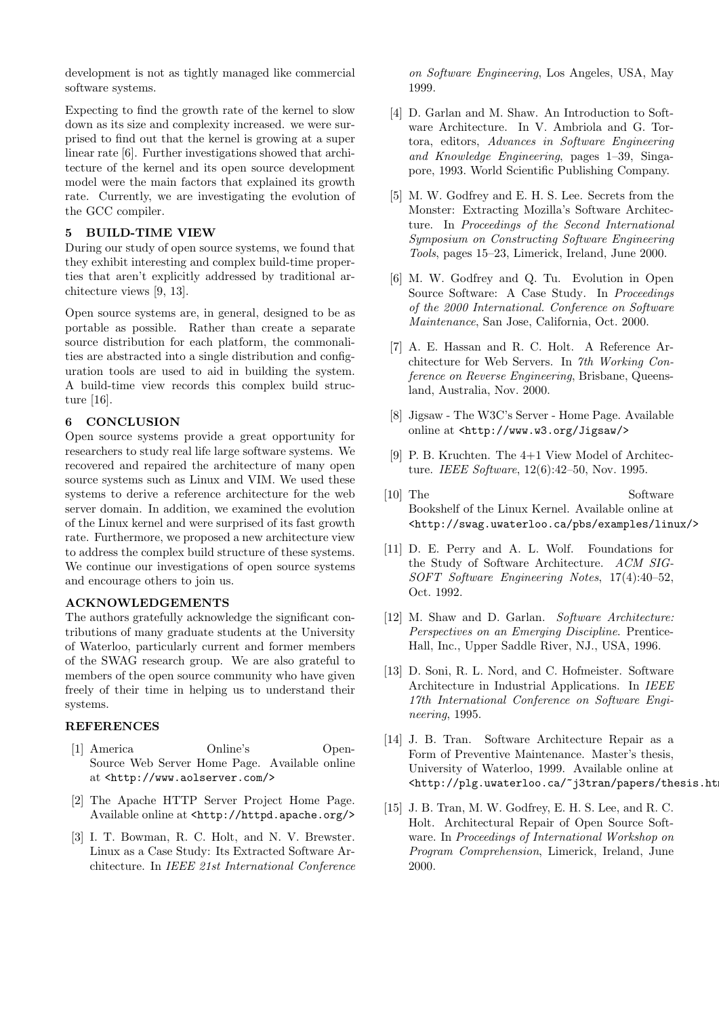development is not as tightly managed like commercial software systems.

Expecting to find the growth rate of the kernel to slow down as its size and complexity increased. we were surprised to find out that the kernel is growing at a super linear rate [6]. Further investigations showed that architecture of the kernel and its open source development model were the main factors that explained its growth rate. Currently, we are investigating the evolution of the GCC compiler.

## 5 BUILD-TIME VIEW

During our study of open source systems, we found that they exhibit interesting and complex build-time properties that aren't explicitly addressed by traditional architecture views [9, 13].

Open source systems are, in general, designed to be as portable as possible. Rather than create a separate source distribution for each platform, the commonalities are abstracted into a single distribution and configuration tools are used to aid in building the system. A build-time view records this complex build structure [16].

# 6 CONCLUSION

Open source systems provide a great opportunity for researchers to study real life large software systems. We recovered and repaired the architecture of many open source systems such as Linux and VIM. We used these systems to derive a reference architecture for the web server domain. In addition, we examined the evolution of the Linux kernel and were surprised of its fast growth rate. Furthermore, we proposed a new architecture view to address the complex build structure of these systems. We continue our investigations of open source systems and encourage others to join us.

# ACKNOWLEDGEMENTS

The authors gratefully acknowledge the significant contributions of many graduate students at the University of Waterloo, particularly current and former members of the SWAG research group. We are also grateful to members of the open source community who have given freely of their time in helping us to understand their systems.

## REFERENCES

- [1] America Online's Open-Source Web Server Home Page. Available online at <http://www.aolserver.com/>
- [2] The Apache HTTP Server Project Home Page. Available online at <http://httpd.apache.org/>
- [3] I. T. Bowman, R. C. Holt, and N. V. Brewster. Linux as a Case Study: Its Extracted Software Architecture. In IEEE 21st International Conference

on Software Engineering, Los Angeles, USA, May 1999.

- [4] D. Garlan and M. Shaw. An Introduction to Software Architecture. In V. Ambriola and G. Tortora, editors, Advances in Software Engineering and Knowledge Engineering, pages 1–39, Singapore, 1993. World Scientific Publishing Company.
- [5] M. W. Godfrey and E. H. S. Lee. Secrets from the Monster: Extracting Mozilla's Software Architecture. In Proceedings of the Second International Symposium on Constructing Software Engineering Tools, pages 15–23, Limerick, Ireland, June 2000.
- [6] M. W. Godfrey and Q. Tu. Evolution in Open Source Software: A Case Study. In Proceedings of the 2000 International. Conference on Software Maintenance, San Jose, California, Oct. 2000.
- [7] A. E. Hassan and R. C. Holt. A Reference Architecture for Web Servers. In 7th Working Conference on Reverse Engineering, Brisbane, Queensland, Australia, Nov. 2000.
- [8] Jigsaw The W3C's Server Home Page. Available online at <http://www.w3.org/Jigsaw/>
- [9] P. B. Kruchten. The 4+1 View Model of Architecture. IEEE Software, 12(6):42–50, Nov. 1995.
- [10] The Software Bookshelf of the Linux Kernel. Available online at <http://swag.uwaterloo.ca/pbs/examples/linux/>
- [11] D. E. Perry and A. L. Wolf. Foundations for the Study of Software Architecture. ACM SIG-SOFT Software Engineering Notes, 17(4):40–52, Oct. 1992.
- [12] M. Shaw and D. Garlan. Software Architecture: Perspectives on an Emerging Discipline. Prentice-Hall, Inc., Upper Saddle River, NJ., USA, 1996.
- [13] D. Soni, R. L. Nord, and C. Hofmeister. Software Architecture in Industrial Applications. In IEEE 17th International Conference on Software Engineering, 1995.
- [14] J. B. Tran. Software Architecture Repair as a Form of Preventive Maintenance. Master's thesis, University of Waterloo, 1999. Available online at <http://plg.uwaterloo.ca/~j3tran/papers/thesis.ht
- [15] J. B. Tran, M. W. Godfrey, E. H. S. Lee, and R. C. Holt. Architectural Repair of Open Source Software. In Proceedings of International Workshop on Program Comprehension, Limerick, Ireland, June 2000.